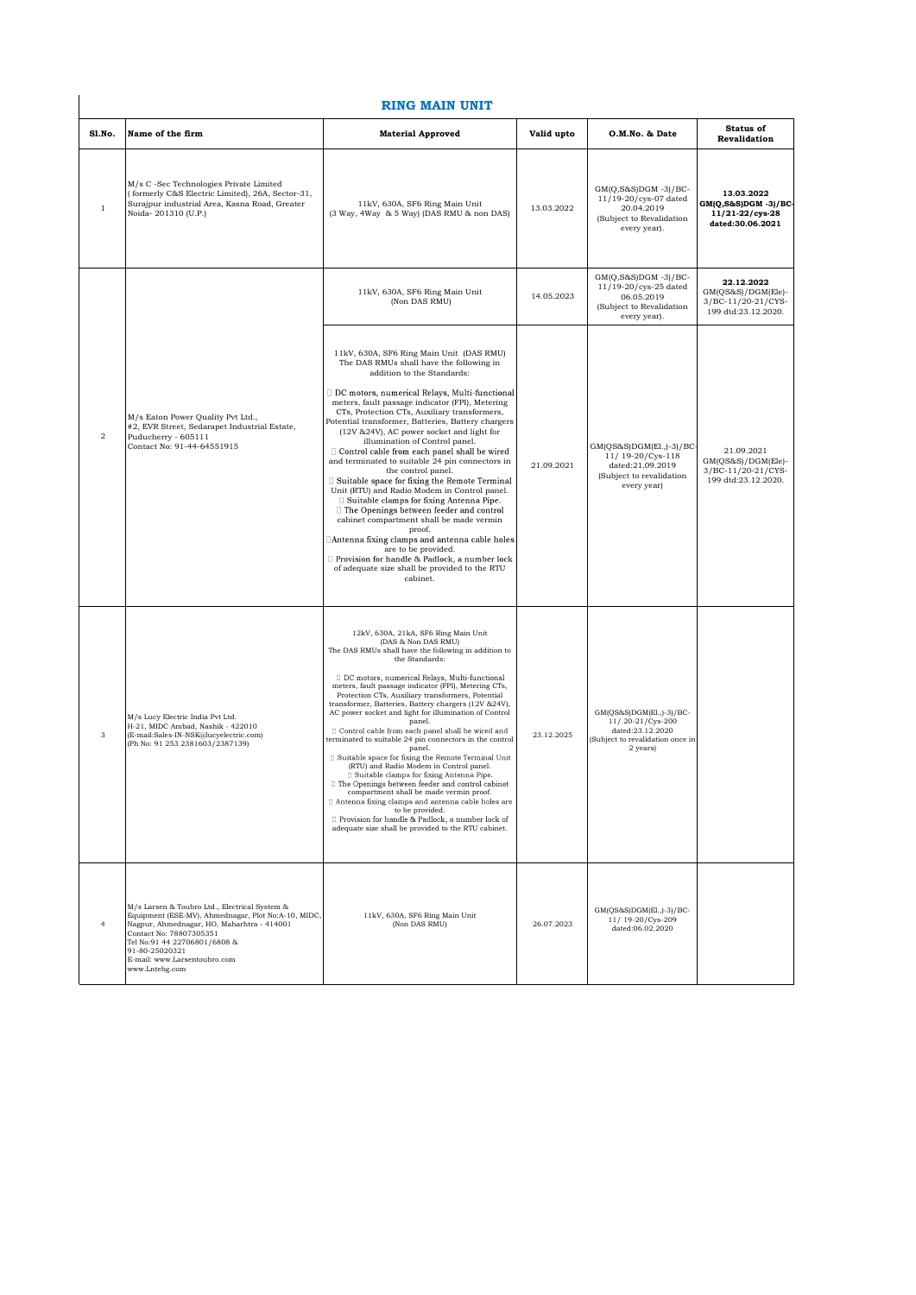## **RING MAIN UNIT**

| Sl.No.         | Name of the firm                                                                                                                                                                                                                                                                  | <b>Material Approved</b>                                                                                                                                                                                                                                                                                                                                                                                                                                                                                                                                                                                                                                                                                                                                                                                                                                                                                                                                                                       | Valid upto | O.M.No. & Date                                                                                                  | <b>Status of</b><br>Revalidation                                              |
|----------------|-----------------------------------------------------------------------------------------------------------------------------------------------------------------------------------------------------------------------------------------------------------------------------------|------------------------------------------------------------------------------------------------------------------------------------------------------------------------------------------------------------------------------------------------------------------------------------------------------------------------------------------------------------------------------------------------------------------------------------------------------------------------------------------------------------------------------------------------------------------------------------------------------------------------------------------------------------------------------------------------------------------------------------------------------------------------------------------------------------------------------------------------------------------------------------------------------------------------------------------------------------------------------------------------|------------|-----------------------------------------------------------------------------------------------------------------|-------------------------------------------------------------------------------|
| $\,1$          | M/s C -Sec Technologies Private Limited<br>formerly C&S Electric Limited), 26A, Sector-31,<br>Surajpur industrial Area, Kasna Road, Greater<br>Noida-201310 (U.P.)                                                                                                                | 11kV, 630A, SF6 Ring Main Unit<br>(3 Way, 4 Way & 5 Way) (DAS RMU & non DAS)                                                                                                                                                                                                                                                                                                                                                                                                                                                                                                                                                                                                                                                                                                                                                                                                                                                                                                                   | 13.03.2022 | $GM(Q,S&S)DGM - 3)/BC-$<br>11/19-20/cys-07 dated<br>20.04.2019<br>(Subject to Revalidation<br>every year).      | 13.03.2022<br>$GM(Q, S\&S)DGM - 3)/BC$<br>11/21-22/cys-28<br>dated:30.06.2021 |
|                |                                                                                                                                                                                                                                                                                   | 11kV, 630A, SF6 Ring Main Unit<br>(Non DAS RMU)                                                                                                                                                                                                                                                                                                                                                                                                                                                                                                                                                                                                                                                                                                                                                                                                                                                                                                                                                | 14.05.2023 | $GM(Q,S&S)DGM - 3)/BC-$<br>11/19-20/cys-25 dated<br>06.05.2019<br>(Subject to Revalidation<br>every year).      | 22.12.2022<br>GM(QS&S)/DGM(Ele)-<br>3/BC-11/20-21/CYS-<br>199 dtd:23.12.2020. |
| $\overline{a}$ | M/s Eaton Power Quality Pvt Ltd.,<br>#2, EVR Street, Sedarapet Industrial Estate,<br>Puducherry - 605111<br>Contact No: 91-44-64551915                                                                                                                                            | 11kV, 630A, SF6 Ring Main Unit (DAS RMU)<br>The DAS RMUs shall have the following in<br>addition to the Standards:<br>DC motors, numerical Relays, Multi-functional<br>meters, fault passage indicator (FPI), Metering<br>CTs, Protection CTs, Auxiliary transformers,<br>Potential transformer, Batteries, Battery chargers<br>(12V & 24V), AC power socket and light for<br>illumination of Control panel.<br>$\Box$ Control cable from each panel shall be wired<br>and terminated to suitable 24 pin connectors in<br>the control panel.<br>Suitable space for fixing the Remote Terminal<br>Unit (RTU) and Radio Modem in Control panel.<br>$\Box$ Suitable clamps for fixing Antenna Pipe.<br>□ The Openings between feeder and control<br>cabinet compartment shall be made vermin<br>proof.<br>□Antenna fixing clamps and antenna cable holes<br>are to be provided.<br>Provision for handle & Padlock, a number lock<br>of adequate size shall be provided to the RTU<br>cabinet.     | 21.09.2021 | GM(QS&S)DGM(El.,)-3)/BC-<br>11/ 19-20/Cys-118<br>dated:21.09.2019<br>(Subject to revalidation<br>every year)    | 21.09.2021<br>GM(QS&S)/DGM(Ele)-<br>3/BC-11/20-21/CYS-<br>199 dtd:23.12.2020. |
| 3              | M/s Lucy Electric India Pvt Ltd.<br>H-21, MIDC Ambad, Nashik - 422010<br>(E-mail:Sales-IN-NSK@lucyelectric.com)<br>(Ph No: 91 253 2381603/2387139)                                                                                                                                | 12kV, 630A, 21kA, SF6 Ring Main Unit<br>(DAS & Non DAS RMU)<br>The DAS RMUs shall have the following in addition to<br>the Standards:<br>DC motors, numerical Relays, Multi-functional<br>meters, fault passage indicator (FPI), Metering CTs,<br>Protection CTs, Auxiliary transformers, Potential<br>transformer, Batteries, Battery chargers (12V & 24V),<br>AC power socket and light for illumination of Control<br>panel.<br>□ Control cable from each panel shall be wired and<br>terminated to suitable 24 pin connectors in the control<br>panel.<br>□ Suitable space for fixing the Remote Terminal Unit<br>(RTU) and Radio Modem in Control panel.<br>□ Suitable clamps for fixing Antenna Pipe.<br>□ The Openings between feeder and control cabinet<br>compartment shall be made vermin proof.<br>tenna fixing clamps and antenna cable holes are<br>to be provided.<br>□ Provision for handle & Padlock, a number lock of<br>adequate size shall be provided to the RTU cabinet. | 23.12.2025 | GM(QS&S)DGM(El.,)-3)/BC-<br>11/20-21/Cys-200<br>dated:23.12.2020<br>Subject to revalidation once in<br>2 years) |                                                                               |
| 4              | M/s Larsen & Toubro Ltd., Electrical System &<br>Equipment (ESE-MV), Ahmednagar, Plot No:A-10, MIDC,<br>Nagpur, Ahmednagar, HO, Maharhtra - 414001<br>Contact No: 78807305351<br>Tel No:91 44 22706801/6808 &<br>91-80-25020321<br>E-mail: www.Larsentoubro.com<br>www.Lntebg.com | 11kV, 630A, SF6 Ring Main Unit<br>(Non DAS RMU)                                                                                                                                                                                                                                                                                                                                                                                                                                                                                                                                                                                                                                                                                                                                                                                                                                                                                                                                                | 26.07.2023 | GM(QS&S)DGM(El.,)-3)/BC-<br>11/19-20/Cys-209<br>dated:06.02.2020                                                |                                                                               |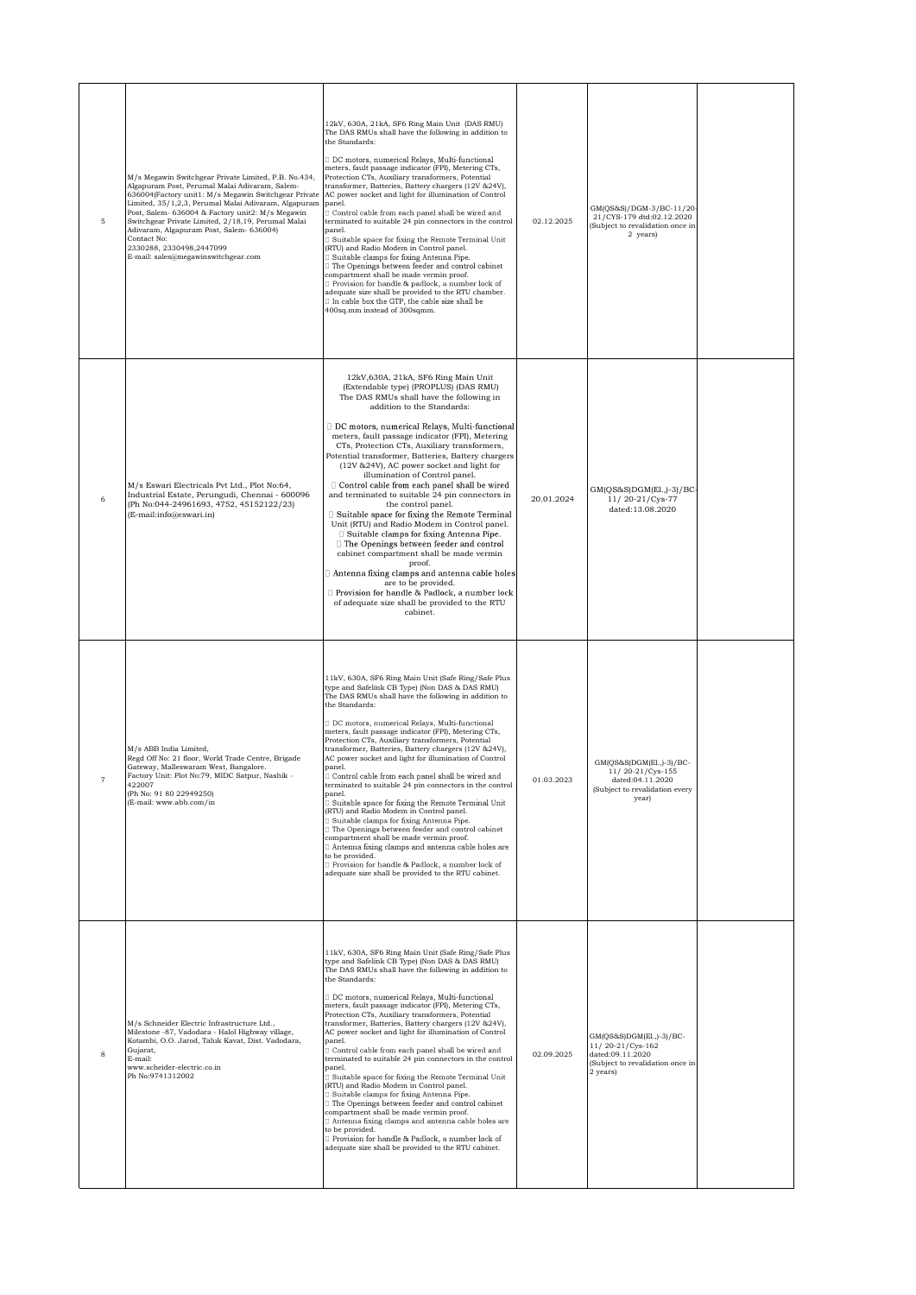| 5                 | M/s Megawin Switchgear Private Limited, P.B. No.434,<br>Algapuram Post, Perumal Malai Adivaram, Salem-<br>636004(Factory unit1: M/s Megawin Switchgear Private<br>Limited, 35/1,2,3, Perumal Malai Adivaram, Algapuram<br>Post, Salem- 636004 & Factory unit2: M/s Megawin<br>Switchgear Private Limited, 2/18,19, Perumal Malai<br>Adivaram, Algapuram Post, Salem- 636004)<br>Contact No:<br>2330288, 2330498, 2447099<br>E-mail: sales@megawinswitchgear.com | 12kV, 630A, 21kA, SF6 Ring Main Unit (DAS RMU)<br>The DAS RMUs shall have the following in addition to<br>the Standards:<br>DC motors, numerical Relays, Multi-functional<br>meters, fault passage indicator (FPI), Metering CTs,<br>Protection CTs, Auxiliary transformers, Potential<br>transformer, Batteries, Battery chargers (12V & 24V),<br>AC power socket and light for illumination of Control<br>panel.<br>Control cable from each panel shall be wired and<br>terminated to suitable 24 pin connectors in the control<br>panel.<br>Suitable space for fixing the Remote Terminal Unit<br>(RTU) and Radio Modem in Control panel.<br>Suitable clamps for fixing Antenna Pipe.<br>The Openings between feeder and control cabinet<br>compartment shall be made vermin proof.<br>Provision for handle & padlock, a number lock of<br>adequate size shall be provided to the RTU chamber.<br>□ In cable box the GTP, the cable size shall be<br>400sq.mm instead of 300sqmm.                                                        | 02.12.2025 | GM(QS&S)/DGM-3/BC-11/20-<br>21/CYS-179 dtd:02.12.2020<br>(Subject to revalidation once in<br>2 years)            |  |
|-------------------|-----------------------------------------------------------------------------------------------------------------------------------------------------------------------------------------------------------------------------------------------------------------------------------------------------------------------------------------------------------------------------------------------------------------------------------------------------------------|---------------------------------------------------------------------------------------------------------------------------------------------------------------------------------------------------------------------------------------------------------------------------------------------------------------------------------------------------------------------------------------------------------------------------------------------------------------------------------------------------------------------------------------------------------------------------------------------------------------------------------------------------------------------------------------------------------------------------------------------------------------------------------------------------------------------------------------------------------------------------------------------------------------------------------------------------------------------------------------------------------------------------------------------|------------|------------------------------------------------------------------------------------------------------------------|--|
| 6                 | M/s Eswari Electricals Pvt Ltd., Plot No:64,<br>Industrial Estate, Perungudi, Chennai - 600096<br>(Ph No:044-24961693, 4752, 45152122/23)<br>(E-mail:info@eswari.in)                                                                                                                                                                                                                                                                                            | 12kV,630A, 21kA, SF6 Ring Main Unit<br>(Extendable type) (PROPLUS) (DAS RMU)<br>The DAS RMUs shall have the following in<br>addition to the Standards:<br>DC motors, numerical Relays, Multi-functional<br>meters, fault passage indicator (FPI), Metering<br>CTs, Protection CTs, Auxiliary transformers,<br>Potential transformer, Batteries, Battery chargers<br>(12V & 24V), AC power socket and light for<br>illumination of Control panel.<br>Control cable from each panel shall be wired<br>and terminated to suitable 24 pin connectors in<br>the control panel.<br>□ Suitable space for fixing the Remote Terminal<br>Unit (RTU) and Radio Modem in Control panel.<br>□ Suitable clamps for fixing Antenna Pipe.<br>□ The Openings between feeder and control<br>cabinet compartment shall be made vermin<br>proof.<br>Antenna fixing clamps and antenna cable holes<br>are to be provided.<br>Provision for handle & Padlock, a number lock<br>of adequate size shall be provided to the RTU<br>cabinet.                         | 20.01.2024 | GM(QS&S)DGM(El.,)-3)/BC-<br>11/20-21/Cys-77<br>dated:13.08.2020                                                  |  |
| $\scriptstyle{7}$ | M/s ABB India Limited,<br>Regd Off No: 21 floor, World Trade Centre, Brigade<br>Gateway, Malleswaram West, Bangalore.<br>Factory Unit: Plot No:79, MIDC Satpur, Nashik -<br>422007<br>(Ph No: 91 80 22949250)<br>(E-mail: www.abb.com/in                                                                                                                                                                                                                        | 11kV, 630A, SF6 Ring Main Unit (Safe Ring/Safe Plus<br>type and Safelink CB Type) (Non DAS & DAS RMU)<br>The DAS RMUs shall have the following in addition to<br>the Standards:<br>□ DC motors, numerical Relays, Multi-functional<br>meters, fault passage indicator (FPI), Metering CTs,<br>Protection CTs, Auxiliary transformers, Potential<br>transformer, Batteries, Battery chargers (12V & 24V),<br>AC power socket and light for illumination of Control<br>panel.<br>] Control cable from each panel shall be wired and<br>terminated to suitable 24 pin connectors in the control<br>panel.<br>Suitable space for fixing the Remote Terminal Unit<br>(RTU) and Radio Modem in Control panel.<br>Suitable clamps for fixing Antenna Pipe.<br>$\Box$ The Openings between feeder and control cabinet<br>compartment shall be made vermin proof.<br>Antenna fixing clamps and antenna cable holes are<br>to be provided.<br>Provision for handle & Padlock, a number lock of<br>adequate size shall be provided to the RTU cabinet. | 01.03.2023 | GM(QS&S)DGM(El.,)-3)/BC-<br>11/20-21/Cys-155<br>dated:04.11.2020<br>(Subject to revalidation every<br>year)      |  |
| 8                 | M/s Schneider Electric Infrastructure Ltd.,<br>Milestone -87, Vadodara - Halol Highway village,<br>Kotambi, O.O. Jarod, Taluk Kavat, Dist. Vadodara,<br>Gujarat,<br>E-mail:<br>www.scheider-electric.co.in<br>Ph No:9741312002                                                                                                                                                                                                                                  | 11kV, 630A, SF6 Ring Main Unit (Safe Ring/Safe Plus<br>type and Safelink CB Type) (Non DAS & DAS RMU)<br>The DAS RMUs shall have the following in addition to<br>the Standards:<br>DC motors, numerical Relays, Multi-functional<br>meters, fault passage indicator (FPI), Metering CTs,<br>Protection CTs, Auxiliary transformers, Potential<br>transformer, Batteries, Battery chargers (12V & 24V),<br>AC power socket and light for illumination of Control<br>panel.<br>Control cable from each panel shall be wired and<br>terminated to suitable 24 pin connectors in the control<br>panel.<br>Suitable space for fixing the Remote Terminal Unit<br>(RTU) and Radio Modem in Control panel.<br>□ Suitable clamps for fixing Antenna Pipe.<br>The Openings between feeder and control cabinet<br>compartment shall be made vermin proof.<br>Antenna fixing clamps and antenna cable holes are<br>to be provided.<br>Provision for handle & Padlock, a number lock of<br>adequate size shall be provided to the RTU cabinet.          | 02.09.2025 | GM(QS&S)DGM(El.,)-3)/BC-<br>11/20-21/Cys-162<br>dated:09.11.2020<br>(Subject to revalidation once in<br>2 years) |  |